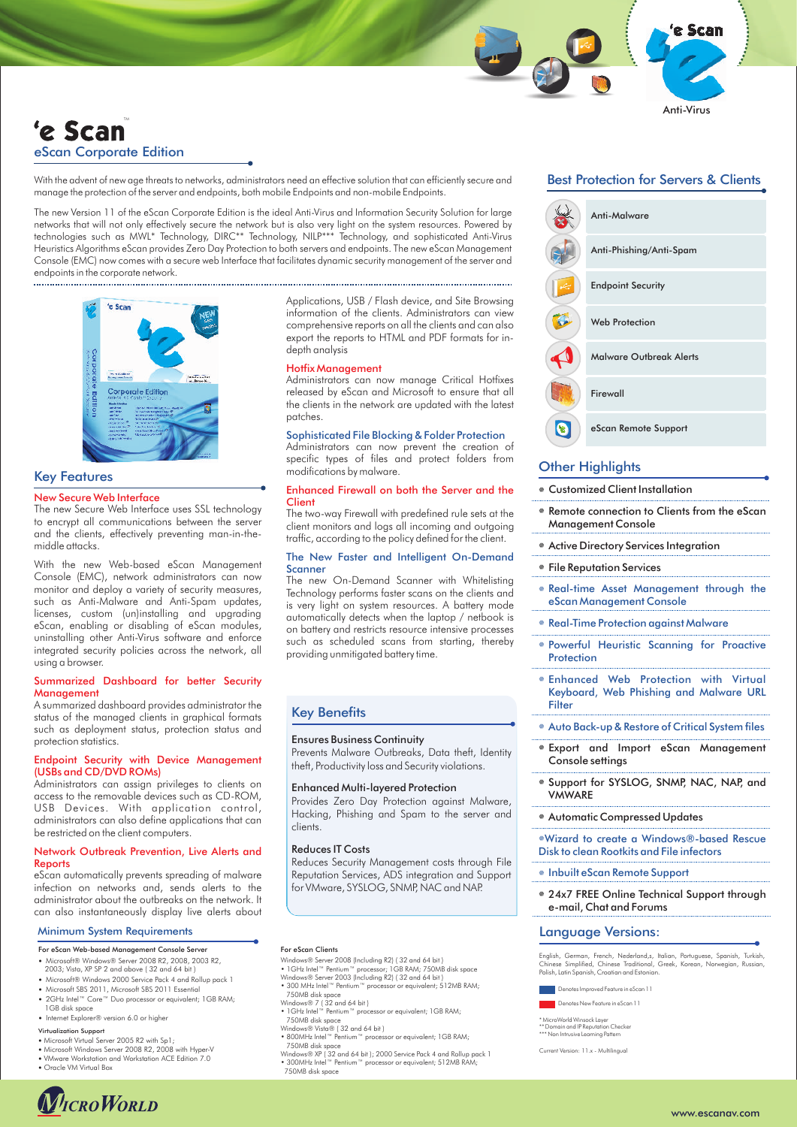# 'e Scan eScan Corporate Edition

With the advent of new age threats to networks, administrators need an effective solution that can efficiently secure and manage the protection of the server and endpoints, both mobile Endpoints and non-mobile Endpoints.

The new Version 11 of the eScan Corporate Edition is the ideal Anti-Virus and Information Security Solution for large networks that will not only effectively secure the network but is also very light on the system resources. Powered by technologies such as MWL\* Technology, DIRC\*\* Technology, NILP\*\*\* Technology, and sophisticated Anti-Virus Heuristics Algorithms eScan provides Zero Day Protection to both servers and endpoints. The new eScan Management Console (EMC) now comes with a secure web Interface that facilitates dynamic security management of the server and endpoints in the corporate network.



# Key Features

### New Secure Web Interface

The new Secure Web Interface uses SSL technology to encrypt all communications between the server and the clients, effectively preventing man-in-themiddle attacks.

With the new Web-based eScan Management Console (EMC), network administrators can now monitor and deploy a variety of security measures, such as Anti-Malware and Anti-Spam updates, licenses, custom (un)installing and upgrading eScan, enabling or disabling of eScan modules, uninstalling other Anti-Virus software and enforce integrated security policies across the network, all using a browser.

### Summarized Dashboard for better Security **Management**

A summarized dashboard provides administrator the status of the managed clients in graphical formats such as deployment status, protection status and protection statistics.

# Endpoint Security with Device Management (USBs and CD/DVD ROMs)

Administrators can assign privileges to clients on access to the removable devices such as CD-ROM, USB Devices. With application control, administrators can also define applications that can be restricted on the client computers.

### Network Outbreak Prevention, Live Alerts and Reports

eScan automatically prevents spreading of malware infection on networks and, sends alerts to the administrator about the outbreaks on the network. It can also instantaneously display live alerts about

## Minimum System Requirements

- For eScan Web-based Management Console Server
- ?Microsoft® Windows® Server 2008 R2, 2008, 2003 R2, 2003; Vista, XP SP 2 and above ( 32 and 64 bit )
- Microsoft SBS 2011, Microsoft SBS 2011 Essential • Microsoft® Windows 2000 Service Pack 4 and Rollup pack 1
- ?Microsoft SBS 2011, Microsoft SBS 2011 Essential 2GHz Intel™ Core™ Duo processor or equivalent; 1GB RAM; 1GB disk space
- Internet Explorer® version 6.0 or highe
- Virtualization Support
- Microsoft Virtual Server 2005 R2 with Sp1;<br>• Microsoft Windows Server 2008 R2, 2008 with Hyper-V
- Microsoft Windows Server 2008 R2, 2008 with Hyper-V<br>• VMware Workstation and Workstation ACE Edition 7.0<br>• Oracle VM Virtual Box
- 



Applications, USB / Flash device, and Site Browsing information of the clients. Administrators can view comprehensive reports on all the clients and can also export the reports to HTML and PDF formats for indepth analysis

### Hotfix Management

Administrators can now manage Critical Hotfixes released by eScan and Microsoft to ensure that all the clients in the network are updated with the latest patches.

## Sophisticated File Blocking & Folder Protection

Administrators can now prevent the creation of specific types of files and protect folders from modifications by malware.

## Enhanced Firewall on both the Server and the **Client**

The two-way Firewall with predefined rule sets at the client monitors and logs all incoming and outgoing traffic, according to the policy defined for the client.

## The New Faster and Intelligent On-Demand Scanner

The new On-Demand Scanner with Whitelisting Technology performs faster scans on the clients and is very light on system resources. A battery mode automatically detects when the laptop / netbook is on battery and restricts resource intensive processes such as scheduled scans from starting, thereby providing unmitigated battery time.

# Key Benefits

#### Ensures Business Continuity

Prevents Malware Outbreaks, Data theft, Identity theft, Productivity loss and Security violations.

#### Enhanced Multi-layered Protection

Provides Zero Day Protection against Malware, Hacking, Phishing and Spam to the server and clients.

### Reduces IT Costs

Reduces Security Management costs through File Reputation Services, ADS integration and Support for VMware, SYSLOG, SNMP, NAC and NAP.

# For eScan Clients

- 
- Windows® Server 2008 (Including R2) (32 and 64 bit)<br>• 1GHz Intel™ Pentium™ processor; 1GB RAM; 750MB disk space<br>Windows® Server 2003 (Including R2) (32 and 64 bit)<br>• 300 MHz Intel™ Pentium™ processor or equivalent; 512MB R
- 
- 
- 750MB disk space Windows® 7 ( 32 and 64 bit ) 1GHz Intel™ Pentium™ processor or equivalent; 1GB RAM;
- 750MB disk space Windows® Vista® ( 32 and 64 bit ) 800MHz Intel™ Pentium™ processor or equivalent; 1GB RAM;
- 750MB disk space
- Windows® XP ( 32 and 64 bit ); 2000 Service Pack 4 and Rollup pack 1 300MHz Intel™ Pentium™ processor or equivalent; 512MB RAM; 750MB disk space

# Best Protection for Servers & Clients

Anti-Virus

'e Scan



# **Other Highlights**

- Customized Client Installation
- Customized Client Installation<br>● Remote connection to Clients from the eScan Management Console
- Active Directory Services Integration
- õõ File Reputation Services
- Real-time Asset Management through the eScan Management Console
- Real-Time Protection against Malware
- <sup>õ</sup>Powerful Heuristic Scanning for Proactive Protection
- <sup>õ</sup>Enhanced Web Protection with Virtual Keyboard, Web Phishing and Malware URL **Filter**
- $*$  Auto Back-up & Restore of Critical System files
- õ Export and Import eScan Management Console settings
- õ Support for SYSLOG, SNMP, NAC, NAP, and **VMWARE**
- õ Automatic Compressed Updates

<sup>õ</sup>Wizard to create a Windows®-based Rescue Disk to clean Rootkits and File infectors

- $\bullet$  Inbuilt eScan Remote Support
- õ 24x7 FREE Online Technical Support through e-mail, Chat and Forums

# Language Versions:

English, German, French, Nederland,s, Italian, Portuguese, Spanish, Turkish,<br>Chinese Simplified, Chinese Traditional, Greek, Korean, Norwegian, Russian,<br>Polish,Latin Spanish,Croatian and Estonian.

Denotes New Feature in eScan 11 Denotes Improved Feature in eScan 11

\* MicroWorld Winsock Layer<br>\*\* Domain and IP Reputation Checker<br>\*\*\* Non Intrusive Learning Pattern MicroWorld Winsock Layer

Current Version: 11.x - Multilingual